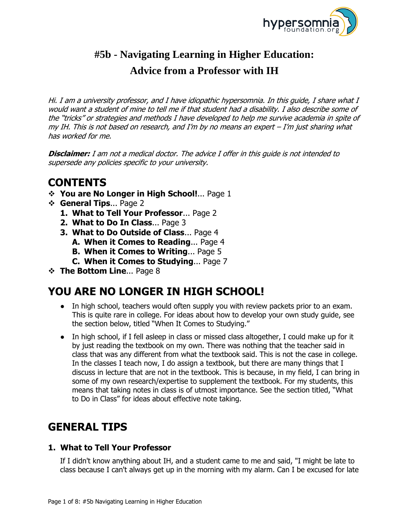

# **#5b - Navigating Learning in Higher Education: Advice from a Professor with IH**

Hi. I am a university professor, and I have idiopathic hypersomnia. In this guide, I share what I would want a student of mine to tell me if that student had a disability. I also describe some of the "tricks" or strategies and methods I have developed to help me survive academia in spite of my IH. This is not based on research, and I'm by no means an expert – I'm just sharing what has worked for me.

**Disclaimer:** I am not a medical doctor. The advice I offer in this guide is not intended to supersede any policies specific to your university.

## **CONTENTS**

- **You are No Longer in High School!**... Page 1
- **General Tips**... Page 2
	- **1. What to Tell Your Professor**... Page 2
	- **2. What to Do In Class**... Page 3
	- **3. What to Do Outside of Class**... Page 4
		- **A. When it Comes to Reading**... Page 4
		- **B. When it Comes to Writing**... Page 5
		- **C. When it Comes to Studying**... Page 7
- **The Bottom Line... Page 8**

# **YOU ARE NO LONGER IN HIGH SCHOOL!**

- In high school, teachers would often supply you with review packets prior to an exam. This is quite rare in college. For ideas about how to develop your own study guide, see the section below, titled "When It Comes to Studying."
- In high school, if I fell asleep in class or missed class altogether, I could make up for it by just reading the textbook on my own. There was nothing that the teacher said in class that was any different from what the textbook said. This is not the case in college. In the classes I teach now, I do assign a textbook, but there are many things that I discuss in lecture that are not in the textbook. This is because, in my field, I can bring in some of my own research/expertise to supplement the textbook. For my students, this means that taking notes in class is of utmost importance. See the section titled, "What to Do in Class" for ideas about effective note taking.

# **GENERAL TIPS**

## **1. What to Tell Your Professor**

If I didn't know anything about IH, and a student came to me and said, "I might be late to class because I can't always get up in the morning with my alarm. Can I be excused for late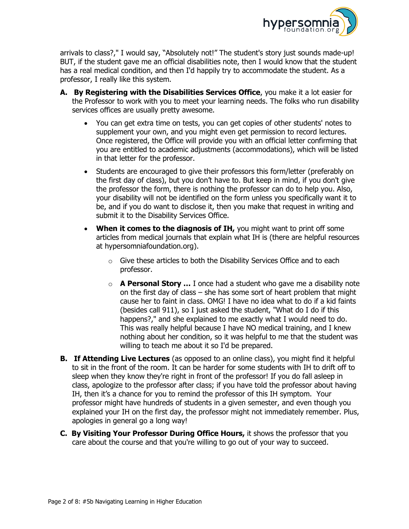

arrivals to class?," I would say, "Absolutely not!" The student's story just sounds made-up! BUT, if the student gave me an official disabilities note, then I would know that the student has a real medical condition, and then I'd happily try to accommodate the student. As a professor, I really like this system.

- **A. By Registering with the Disabilities Services Office**, you make it a lot easier for the Professor to work with you to meet your learning needs. The folks who run disability services offices are usually pretty awesome.
	- You can get extra time on tests, you can get copies of other students' notes to supplement your own, and you might even get permission to record lectures. Once registered, the Office will provide you with an official letter confirming that you are entitled to academic adjustments (accommodations), which will be listed in that letter for the professor.
	- Students are encouraged to give their professors this form/letter (preferably on the first day of class), but you don't have to. But keep in mind, if you don't give the professor the form, there is nothing the professor can do to help you. Also, your disability will not be identified on the form unless you specifically want it to be, and if you do want to disclose it, then you make that request in writing and submit it to the Disability Services Office.
	- **When it comes to the diagnosis of IH,** you might want to print off some articles from medical journals that explain what IH is (there are helpful resources at hypersomniafoundation.org).
		- o Give these articles to both the Disability Services Office and to each professor.
		- o **A Personal Story …** I once had a student who gave me a disability note on the first day of class – she has some sort of heart problem that might cause her to faint in class. OMG! I have no idea what to do if a kid faints (besides call 911), so I just asked the student, "What do I do if this happens?," and she explained to me exactly what I would need to do. This was really helpful because I have NO medical training, and I knew nothing about her condition, so it was helpful to me that the student was willing to teach me about it so I'd be prepared.
- **B. If Attending Live Lectures** (as opposed to an online class), you might find it helpful to sit in the front of the room. It can be harder for some students with IH to drift off to sleep when they know they're right in front of the professor! If you do fall asleep in class, apologize to the professor after class; if you have told the professor about having IH, then it's a chance for you to remind the professor of this IH symptom. Your professor might have hundreds of students in a given semester, and even though you explained your IH on the first day, the professor might not immediately remember. Plus, apologies in general go a long way!
- **C. By Visiting Your Professor During Office Hours,** it shows the professor that you care about the course and that you're willing to go out of your way to succeed.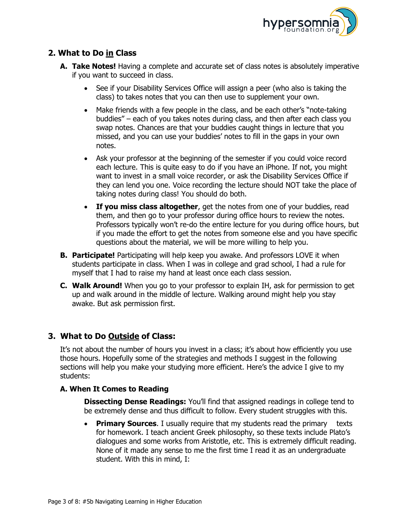

### **2. What to Do in Class**

- **A. Take Notes!** Having a complete and accurate set of class notes is absolutely imperative if you want to succeed in class.
	- See if your Disability Services Office will assign a peer (who also is taking the class) to takes notes that you can then use to supplement your own.
	- Make friends with a few people in the class, and be each other's "note-taking" buddies" – each of you takes notes during class, and then after each class you swap notes. Chances are that your buddies caught things in lecture that you missed, and you can use your buddies' notes to fill in the gaps in your own notes.
	- Ask your professor at the beginning of the semester if you could voice record each lecture. This is quite easy to do if you have an iPhone. If not, you might want to invest in a small voice recorder, or ask the Disability Services Office if they can lend you one. Voice recording the lecture should NOT take the place of taking notes during class! You should do both.
	- **If you miss class altogether**, get the notes from one of your buddies, read them, and then go to your professor during office hours to review the notes. Professors typically won't re-do the entire lecture for you during office hours, but if you made the effort to get the notes from someone else and you have specific questions about the material, we will be more willing to help you.
- **B. Participate!** Participating will help keep you awake. And professors LOVE it when students participate in class. When I was in college and grad school, I had a rule for myself that I had to raise my hand at least once each class session.
- **C. Walk Around!** When you go to your professor to explain IH, ask for permission to get up and walk around in the middle of lecture. Walking around might help you stay awake. But ask permission first.

### **3. What to Do Outside of Class:**

It's not about the number of hours you invest in a class; it's about how efficiently you use those hours. Hopefully some of the strategies and methods I suggest in the following sections will help you make your studying more efficient. Here's the advice I give to my students:

### **A. When It Comes to Reading**

**Dissecting Dense Readings:** You'll find that assigned readings in college tend to be extremely dense and thus difficult to follow. Every student struggles with this.

 **Primary Sources**. I usually require that my students read the primary texts for homework. I teach ancient Greek philosophy, so these texts include Plato's dialogues and some works from Aristotle, etc. This is extremely difficult reading. None of it made any sense to me the first time I read it as an undergraduate student. With this in mind, I: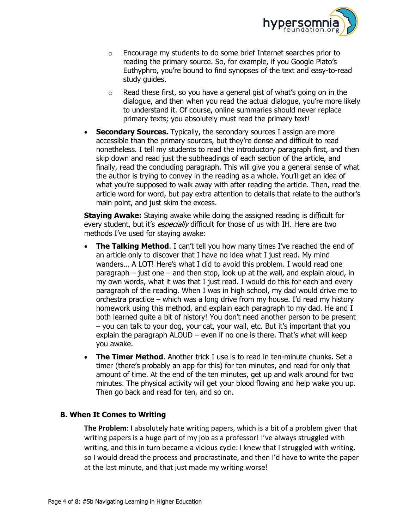

- $\circ$  Encourage my students to do some brief Internet searches prior to reading the primary source. So, for example, if you Google Plato's Euthyphro, you're bound to find synopses of the text and easy-to-read study guides.
- o Read these first, so you have a general gist of what's going on in the dialogue, and then when you read the actual dialogue, you're more likely to understand it. Of course, online summaries should never replace primary texts; you absolutely must read the primary text!
- **Secondary Sources.** Typically, the secondary sources I assign are more accessible than the primary sources, but they're dense and difficult to read nonetheless. I tell my students to read the introductory paragraph first, and then skip down and read just the subheadings of each section of the article, and finally, read the concluding paragraph. This will give you a general sense of what the author is trying to convey in the reading as a whole. You'll get an idea of what you're supposed to walk away with after reading the article. Then, read the article word for word, but pay extra attention to details that relate to the author's main point, and just skim the excess.

**Staying Awake:** Staying awake while doing the assigned reading is difficult for every student, but it's *especially* difficult for those of us with IH. Here are two methods I've used for staying awake:

- **The Talking Method.** I can't tell you how many times I've reached the end of an article only to discover that I have no idea what I just read. My mind wanders… A LOT! Here's what I did to avoid this problem. I would read one paragraph – just one – and then stop, look up at the wall, and explain aloud, in my own words, what it was that I just read. I would do this for each and every paragraph of the reading. When I was in high school, my dad would drive me to orchestra practice – which was a long drive from my house. I'd read my history homework using this method, and explain each paragraph to my dad. He and I both learned quite a bit of history! You don't need another person to be present – you can talk to your dog, your cat, your wall, etc. But it's important that you explain the paragraph ALOUD – even if no one is there. That's what will keep you awake.
- **The Timer Method**. Another trick I use is to read in ten-minute chunks. Set a timer (there's probably an app for this) for ten minutes, and read for only that amount of time. At the end of the ten minutes, get up and walk around for two minutes. The physical activity will get your blood flowing and help wake you up. Then go back and read for ten, and so on.

### **B. When It Comes to Writing**

**The Problem**: I absolutely hate writing papers, which is a bit of a problem given that writing papers is a huge part of my job as a professor! I've always struggled with writing, and this in turn became a vicious cycle: I knew that I struggled with writing, so I would dread the process and procrastinate, and then I'd have to write the paper at the last minute, and that just made my writing worse!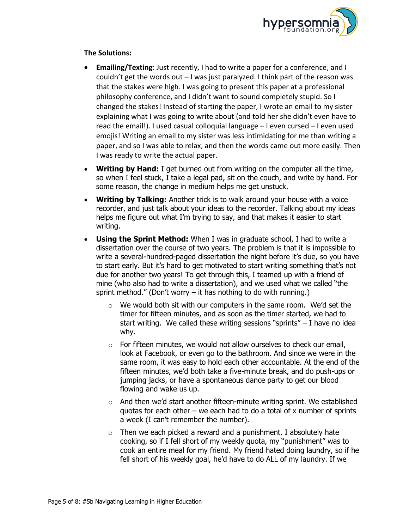

### **The Solutions:**

- **Emailing/Texting**: Just recently, I had to write a paper for a conference, and I couldn't get the words out  $-1$  was just paralyzed. I think part of the reason was that the stakes were high. I was going to present this paper at a professional philosophy conference, and I didn't want to sound completely stupid. So I changed the stakes! Instead of starting the paper, I wrote an email to my sister explaining what I was going to write about (and told her she didn't even have to read the email!). I used casual colloquial language – I even cursed – I even used emojis! Writing an email to my sister was less intimidating for me than writing a paper, and so I was able to relax, and then the words came out more easily. Then I was ready to write the actual paper.
- **Writing by Hand:** I get burned out from writing on the computer all the time, so when I feel stuck, I take a legal pad, sit on the couch, and write by hand. For some reason, the change in medium helps me get unstuck.
- **Writing by Talking:** Another trick is to walk around your house with a voice recorder, and just talk about your ideas to the recorder. Talking about my ideas helps me figure out what I'm trying to say, and that makes it easier to start writing.
- **Using the Sprint Method:** When I was in graduate school, I had to write a dissertation over the course of two years. The problem is that it is impossible to write a several-hundred-paged dissertation the night before it's due, so you have to start early. But it's hard to get motivated to start writing something that's not due for another two years! To get through this, I teamed up with a friend of mine (who also had to write a dissertation), and we used what we called "the sprint method." (Don't worry  $-$  it has nothing to do with running.)
	- o We would both sit with our computers in the same room. We'd set the timer for fifteen minutes, and as soon as the timer started, we had to start writing. We called these writing sessions "sprints"  $-$  I have no idea why.
	- $\circ$  For fifteen minutes, we would not allow ourselves to check our email, look at Facebook, or even go to the bathroom. And since we were in the same room, it was easy to hold each other accountable. At the end of the fifteen minutes, we'd both take a five-minute break, and do push-ups or jumping jacks, or have a spontaneous dance party to get our blood flowing and wake us up.
	- $\circ$  And then we'd start another fifteen-minute writing sprint. We established quotas for each other – we each had to do a total of x number of sprints a week (I can't remember the number).
	- $\circ$  Then we each picked a reward and a punishment. I absolutely hate cooking, so if I fell short of my weekly quota, my "punishment" was to cook an entire meal for my friend. My friend hated doing laundry, so if he fell short of his weekly goal, he'd have to do ALL of my laundry. If we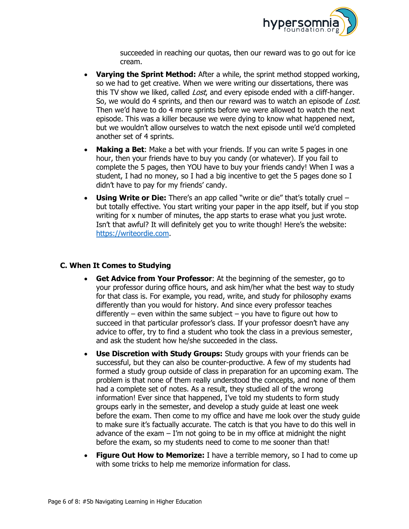

succeeded in reaching our quotas, then our reward was to go out for ice cream.

- **Varying the Sprint Method:** After a while, the sprint method stopped working, so we had to get creative. When we were writing our dissertations, there was this TV show we liked, called *Lost*, and every episode ended with a cliff-hanger. So, we would do 4 sprints, and then our reward was to watch an episode of Lost. Then we'd have to do 4 more sprints before we were allowed to watch the next episode. This was a killer because we were dying to know what happened next, but we wouldn't allow ourselves to watch the next episode until we'd completed another set of 4 sprints.
- **Making a Bet**: Make a bet with your friends. If you can write 5 pages in one hour, then your friends have to buy you candy (or whatever). If you fail to complete the 5 pages, then YOU have to buy your friends candy! When I was a student, I had no money, so I had a big incentive to get the 5 pages done so I didn't have to pay for my friends' candy.
- **Using Write or Die:** There's an app called "write or die" that's totally cruel but totally effective. You start writing your paper in the app itself, but if you stop writing for x number of minutes, the app starts to erase what you just wrote. Isn't that awful? It will definitely get you to write though! Here's the website: [https://writeordie.com.](https://writeordie.com/)

### **C. When It Comes to Studying**

- **Get Advice from Your Professor**: At the beginning of the semester, go to your professor during office hours, and ask him/her what the best way to study for that class is. For example, you read, write, and study for philosophy exams differently than you would for history. And since every professor teaches differently – even within the same subject – you have to figure out how to succeed in that particular professor's class. If your professor doesn't have any advice to offer, try to find a student who took the class in a previous semester, and ask the student how he/she succeeded in the class.
- **Use Discretion with Study Groups:** Study groups with your friends can be successful, but they can also be counter-productive. A few of my students had formed a study group outside of class in preparation for an upcoming exam. The problem is that none of them really understood the concepts, and none of them had a complete set of notes. As a result, they studied all of the wrong information! Ever since that happened, I've told my students to form study groups early in the semester, and develop a study guide at least one week before the exam. Then come to my office and have me look over the study guide to make sure it's factually accurate. The catch is that you have to do this well in advance of the exam  $-1$ 'm not going to be in my office at midnight the night before the exam, so my students need to come to me sooner than that!
- **Figure Out How to Memorize:** I have a terrible memory, so I had to come up with some tricks to help me memorize information for class.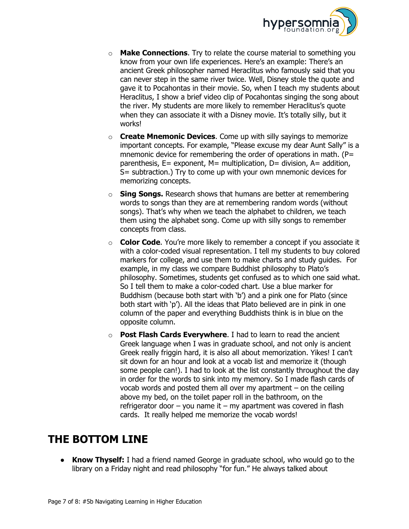

- o **Make Connections**. Try to relate the course material to something you know from your own life experiences. Here's an example: There's an ancient Greek philosopher named Heraclitus who famously said that you can never step in the same river twice. Well, Disney stole the quote and gave it to Pocahontas in their movie. So, when I teach my students about Heraclitus, I show a brief video clip of Pocahontas singing the song about the river. My students are more likely to remember Heraclitus's quote when they can associate it with a Disney movie. It's totally silly, but it works!
- o **Create Mnemonic Devices**. Come up with silly sayings to memorize important concepts. For example, "Please excuse my dear Aunt Sally" is a mnemonic device for remembering the order of operations in math. ( $P=$ parenthesis,  $E=$  exponent,  $M=$  multiplication,  $D=$  division,  $A=$  addition, S= subtraction.) Try to come up with your own mnemonic devices for memorizing concepts.
- o **Sing Songs.** Research shows that humans are better at remembering words to songs than they are at remembering random words (without songs). That's why when we teach the alphabet to children, we teach them using the alphabet song. Come up with silly songs to remember concepts from class.
- o **Color Code**. You're more likely to remember a concept if you associate it with a color-coded visual representation. I tell my students to buy colored markers for college, and use them to make charts and study guides. For example, in my class we compare Buddhist philosophy to Plato's philosophy. Sometimes, students get confused as to which one said what. So I tell them to make a color-coded chart. Use a blue marker for Buddhism (because both start with 'b') and a pink one for Plato (since both start with 'p'). All the ideas that Plato believed are in pink in one column of the paper and everything Buddhists think is in blue on the opposite column.
- o **Post Flash Cards Everywhere**. I had to learn to read the ancient Greek language when I was in graduate school, and not only is ancient Greek really friggin hard, it is also all about memorization. Yikes! I can't sit down for an hour and look at a vocab list and memorize it (though some people can!). I had to look at the list constantly throughout the day in order for the words to sink into my memory. So I made flash cards of vocab words and posted them all over my apartment  $-$  on the ceiling above my bed, on the toilet paper roll in the bathroom, on the refrigerator door  $-$  you name it  $-$  my apartment was covered in flash cards. It really helped me memorize the vocab words!

## **THE BOTTOM LINE**

**• Know Thyself:** I had a friend named George in graduate school, who would go to the library on a Friday night and read philosophy "for fun." He always talked about